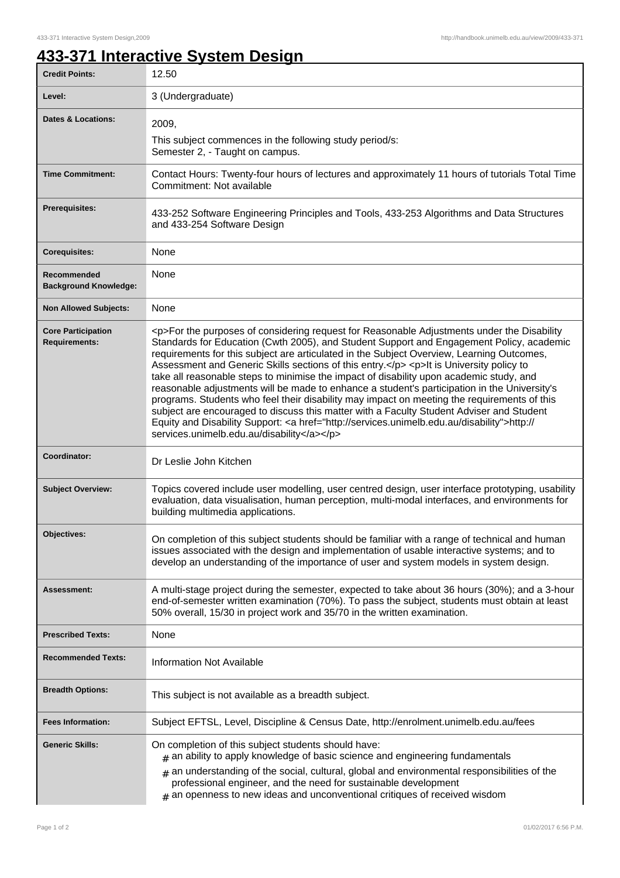## **433-371 Interactive System Design**

| <b>Credit Points:</b>                             | 12.50                                                                                                                                                                                                                                                                                                                                                                                                                                                                                                                                                                                                                                                                                                                                                                                                                                                                                                                        |
|---------------------------------------------------|------------------------------------------------------------------------------------------------------------------------------------------------------------------------------------------------------------------------------------------------------------------------------------------------------------------------------------------------------------------------------------------------------------------------------------------------------------------------------------------------------------------------------------------------------------------------------------------------------------------------------------------------------------------------------------------------------------------------------------------------------------------------------------------------------------------------------------------------------------------------------------------------------------------------------|
| Level:                                            | 3 (Undergraduate)                                                                                                                                                                                                                                                                                                                                                                                                                                                                                                                                                                                                                                                                                                                                                                                                                                                                                                            |
| <b>Dates &amp; Locations:</b>                     | 2009,                                                                                                                                                                                                                                                                                                                                                                                                                                                                                                                                                                                                                                                                                                                                                                                                                                                                                                                        |
|                                                   | This subject commences in the following study period/s:<br>Semester 2, - Taught on campus.                                                                                                                                                                                                                                                                                                                                                                                                                                                                                                                                                                                                                                                                                                                                                                                                                                   |
| <b>Time Commitment:</b>                           | Contact Hours: Twenty-four hours of lectures and approximately 11 hours of tutorials Total Time<br>Commitment: Not available                                                                                                                                                                                                                                                                                                                                                                                                                                                                                                                                                                                                                                                                                                                                                                                                 |
| <b>Prerequisites:</b>                             | 433-252 Software Engineering Principles and Tools, 433-253 Algorithms and Data Structures<br>and 433-254 Software Design                                                                                                                                                                                                                                                                                                                                                                                                                                                                                                                                                                                                                                                                                                                                                                                                     |
| <b>Corequisites:</b>                              | None                                                                                                                                                                                                                                                                                                                                                                                                                                                                                                                                                                                                                                                                                                                                                                                                                                                                                                                         |
| Recommended<br><b>Background Knowledge:</b>       | None                                                                                                                                                                                                                                                                                                                                                                                                                                                                                                                                                                                                                                                                                                                                                                                                                                                                                                                         |
| <b>Non Allowed Subjects:</b>                      | None                                                                                                                                                                                                                                                                                                                                                                                                                                                                                                                                                                                                                                                                                                                                                                                                                                                                                                                         |
| <b>Core Participation</b><br><b>Requirements:</b> | <p>For the purposes of considering request for Reasonable Adjustments under the Disability<br/>Standards for Education (Cwth 2005), and Student Support and Engagement Policy, academic<br/>requirements for this subject are articulated in the Subject Overview, Learning Outcomes,<br/>Assessment and Generic Skills sections of this entry.</p> <p>lt is University policy to<br/>take all reasonable steps to minimise the impact of disability upon academic study, and<br/>reasonable adjustments will be made to enhance a student's participation in the University's<br/>programs. Students who feel their disability may impact on meeting the requirements of this<br/>subject are encouraged to discuss this matter with a Faculty Student Adviser and Student<br/>Equity and Disability Support: &lt; a href="http://services.unimelb.edu.au/disability"&gt;http://<br/>services.unimelb.edu.au/disability</p> |
| Coordinator:                                      | Dr Leslie John Kitchen                                                                                                                                                                                                                                                                                                                                                                                                                                                                                                                                                                                                                                                                                                                                                                                                                                                                                                       |
| <b>Subject Overview:</b>                          | Topics covered include user modelling, user centred design, user interface prototyping, usability<br>evaluation, data visualisation, human perception, multi-modal interfaces, and environments for<br>building multimedia applications.                                                                                                                                                                                                                                                                                                                                                                                                                                                                                                                                                                                                                                                                                     |
| Objectives:                                       | On completion of this subject students should be familiar with a range of technical and human<br>issues associated with the design and implementation of usable interactive systems; and to<br>develop an understanding of the importance of user and system models in system design.                                                                                                                                                                                                                                                                                                                                                                                                                                                                                                                                                                                                                                        |
| <b>Assessment:</b>                                | A multi-stage project during the semester, expected to take about 36 hours (30%); and a 3-hour<br>end-of-semester written examination (70%). To pass the subject, students must obtain at least<br>50% overall, 15/30 in project work and 35/70 in the written examination.                                                                                                                                                                                                                                                                                                                                                                                                                                                                                                                                                                                                                                                  |
| <b>Prescribed Texts:</b>                          | None                                                                                                                                                                                                                                                                                                                                                                                                                                                                                                                                                                                                                                                                                                                                                                                                                                                                                                                         |
| <b>Recommended Texts:</b>                         | <b>Information Not Available</b>                                                                                                                                                                                                                                                                                                                                                                                                                                                                                                                                                                                                                                                                                                                                                                                                                                                                                             |
| <b>Breadth Options:</b>                           | This subject is not available as a breadth subject.                                                                                                                                                                                                                                                                                                                                                                                                                                                                                                                                                                                                                                                                                                                                                                                                                                                                          |
| <b>Fees Information:</b>                          | Subject EFTSL, Level, Discipline & Census Date, http://enrolment.unimelb.edu.au/fees                                                                                                                                                                                                                                                                                                                                                                                                                                                                                                                                                                                                                                                                                                                                                                                                                                         |
| <b>Generic Skills:</b>                            | On completion of this subject students should have:<br>$#$ an ability to apply knowledge of basic science and engineering fundamentals<br>$_{\#}$ an understanding of the social, cultural, global and environmental responsibilities of the<br>professional engineer, and the need for sustainable development<br>$#$ an openness to new ideas and unconventional critiques of received wisdom                                                                                                                                                                                                                                                                                                                                                                                                                                                                                                                              |